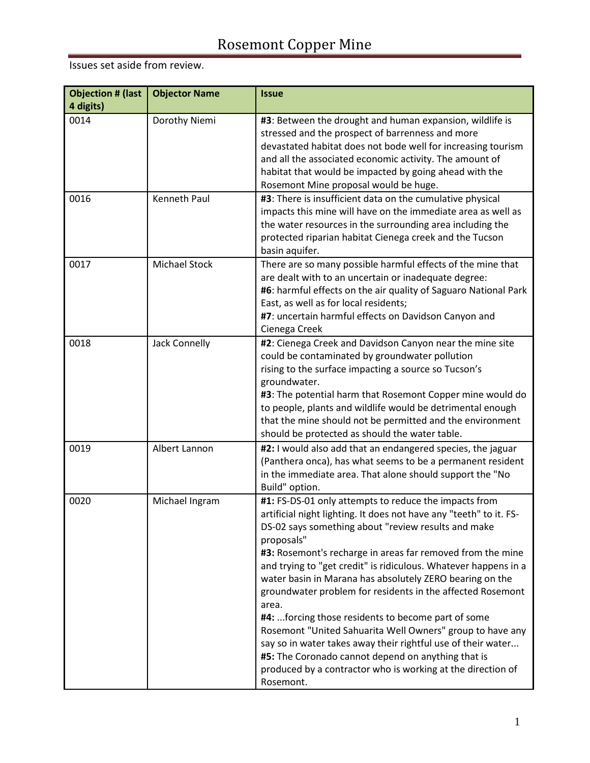| <b>Objection # (last</b><br>4 digits) | <b>Objector Name</b> | <b>Issue</b>                                                                                                                                                                                                                                                                                                                                                                                                                                                                                                                                                                                                                                                                                                                                                                              |
|---------------------------------------|----------------------|-------------------------------------------------------------------------------------------------------------------------------------------------------------------------------------------------------------------------------------------------------------------------------------------------------------------------------------------------------------------------------------------------------------------------------------------------------------------------------------------------------------------------------------------------------------------------------------------------------------------------------------------------------------------------------------------------------------------------------------------------------------------------------------------|
| 0014                                  | Dorothy Niemi        | #3: Between the drought and human expansion, wildlife is<br>stressed and the prospect of barrenness and more<br>devastated habitat does not bode well for increasing tourism<br>and all the associated economic activity. The amount of<br>habitat that would be impacted by going ahead with the<br>Rosemont Mine proposal would be huge.                                                                                                                                                                                                                                                                                                                                                                                                                                                |
| 0016                                  | <b>Kenneth Paul</b>  | #3: There is insufficient data on the cumulative physical<br>impacts this mine will have on the immediate area as well as<br>the water resources in the surrounding area including the<br>protected riparian habitat Cienega creek and the Tucson<br>basin aquifer.                                                                                                                                                                                                                                                                                                                                                                                                                                                                                                                       |
| 0017                                  | <b>Michael Stock</b> | There are so many possible harmful effects of the mine that<br>are dealt with to an uncertain or inadequate degree:<br>#6: harmful effects on the air quality of Saguaro National Park<br>East, as well as for local residents;<br>#7: uncertain harmful effects on Davidson Canyon and<br>Cienega Creek                                                                                                                                                                                                                                                                                                                                                                                                                                                                                  |
| 0018                                  | Jack Connelly        | #2: Cienega Creek and Davidson Canyon near the mine site<br>could be contaminated by groundwater pollution<br>rising to the surface impacting a source so Tucson's<br>groundwater.<br>#3: The potential harm that Rosemont Copper mine would do<br>to people, plants and wildlife would be detrimental enough<br>that the mine should not be permitted and the environment<br>should be protected as should the water table.                                                                                                                                                                                                                                                                                                                                                              |
| 0019                                  | Albert Lannon        | #2: I would also add that an endangered species, the jaguar<br>(Panthera onca), has what seems to be a permanent resident<br>in the immediate area. That alone should support the "No<br>Build" option.                                                                                                                                                                                                                                                                                                                                                                                                                                                                                                                                                                                   |
| 0020                                  | Michael Ingram       | #1: FS-DS-01 only attempts to reduce the impacts from<br>artificial night lighting. It does not have any "teeth" to it. FS-<br>DS-02 says something about "review results and make<br>proposals"<br>#3: Rosemont's recharge in areas far removed from the mine<br>and trying to "get credit" is ridiculous. Whatever happens in a<br>water basin in Marana has absolutely ZERO bearing on the<br>groundwater problem for residents in the affected Rosemont<br>area.<br>#4: forcing those residents to become part of some<br>Rosemont "United Sahuarita Well Owners" group to have any<br>say so in water takes away their rightful use of their water<br>#5: The Coronado cannot depend on anything that is<br>produced by a contractor who is working at the direction of<br>Rosemont. |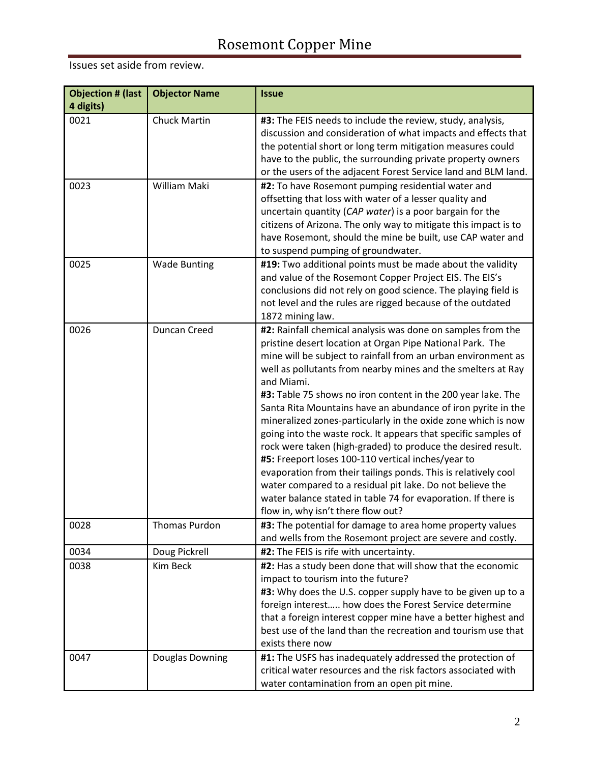| <b>Objection # (last</b><br>4 digits) | <b>Objector Name</b>   | <b>Issue</b>                                                                                                                                                                                                                                                                                                                                                                                                                                                                                                                                                                                                                                                                                                                                                                                                                                                                                           |
|---------------------------------------|------------------------|--------------------------------------------------------------------------------------------------------------------------------------------------------------------------------------------------------------------------------------------------------------------------------------------------------------------------------------------------------------------------------------------------------------------------------------------------------------------------------------------------------------------------------------------------------------------------------------------------------------------------------------------------------------------------------------------------------------------------------------------------------------------------------------------------------------------------------------------------------------------------------------------------------|
| 0021                                  | <b>Chuck Martin</b>    | #3: The FEIS needs to include the review, study, analysis,<br>discussion and consideration of what impacts and effects that<br>the potential short or long term mitigation measures could<br>have to the public, the surrounding private property owners<br>or the users of the adjacent Forest Service land and BLM land.                                                                                                                                                                                                                                                                                                                                                                                                                                                                                                                                                                             |
| 0023                                  | William Maki           | #2: To have Rosemont pumping residential water and<br>offsetting that loss with water of a lesser quality and<br>uncertain quantity (CAP water) is a poor bargain for the<br>citizens of Arizona. The only way to mitigate this impact is to<br>have Rosemont, should the mine be built, use CAP water and<br>to suspend pumping of groundwater.                                                                                                                                                                                                                                                                                                                                                                                                                                                                                                                                                       |
| 0025                                  | <b>Wade Bunting</b>    | #19: Two additional points must be made about the validity<br>and value of the Rosemont Copper Project EIS. The EIS's<br>conclusions did not rely on good science. The playing field is<br>not level and the rules are rigged because of the outdated<br>1872 mining law.                                                                                                                                                                                                                                                                                                                                                                                                                                                                                                                                                                                                                              |
| 0026                                  | Duncan Creed           | #2: Rainfall chemical analysis was done on samples from the<br>pristine desert location at Organ Pipe National Park. The<br>mine will be subject to rainfall from an urban environment as<br>well as pollutants from nearby mines and the smelters at Ray<br>and Miami.<br>#3: Table 75 shows no iron content in the 200 year lake. The<br>Santa Rita Mountains have an abundance of iron pyrite in the<br>mineralized zones-particularly in the oxide zone which is now<br>going into the waste rock. It appears that specific samples of<br>rock were taken (high-graded) to produce the desired result.<br>#5: Freeport loses 100-110 vertical inches/year to<br>evaporation from their tailings ponds. This is relatively cool<br>water compared to a residual pit lake. Do not believe the<br>water balance stated in table 74 for evaporation. If there is<br>flow in, why isn't there flow out? |
| 0028                                  | Thomas Purdon          | #3: The potential for damage to area home property values<br>and wells from the Rosemont project are severe and costly.                                                                                                                                                                                                                                                                                                                                                                                                                                                                                                                                                                                                                                                                                                                                                                                |
| 0034                                  | Doug Pickrell          | #2: The FEIS is rife with uncertainty.                                                                                                                                                                                                                                                                                                                                                                                                                                                                                                                                                                                                                                                                                                                                                                                                                                                                 |
| 0038                                  | Kim Beck               | #2: Has a study been done that will show that the economic<br>impact to tourism into the future?<br>#3: Why does the U.S. copper supply have to be given up to a<br>foreign interest how does the Forest Service determine<br>that a foreign interest copper mine have a better highest and<br>best use of the land than the recreation and tourism use that<br>exists there now                                                                                                                                                                                                                                                                                                                                                                                                                                                                                                                       |
| 0047                                  | <b>Douglas Downing</b> | #1: The USFS has inadequately addressed the protection of<br>critical water resources and the risk factors associated with<br>water contamination from an open pit mine.                                                                                                                                                                                                                                                                                                                                                                                                                                                                                                                                                                                                                                                                                                                               |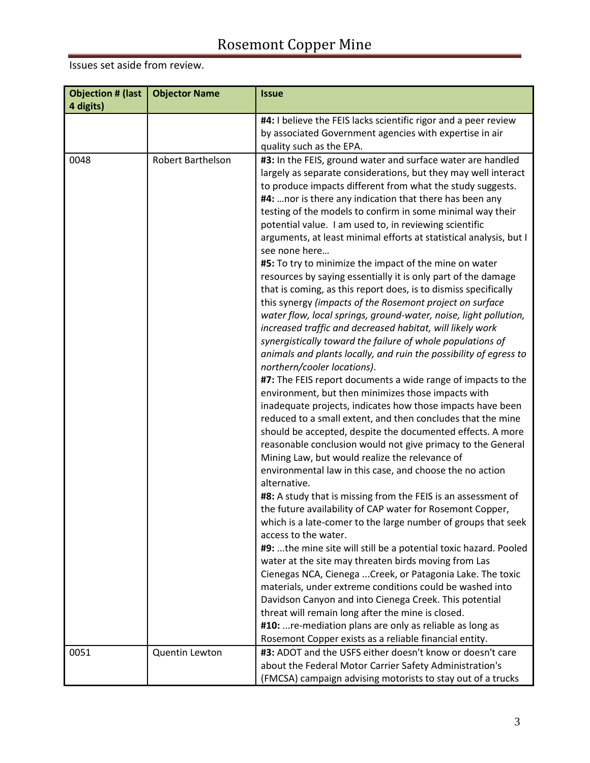| <b>Objection # (last</b><br>4 digits) | <b>Objector Name</b> | <b>Issue</b>                                                                                                                                                                                                                                                                                                                                                                                                                                                                                                                                                                                                                                                                                                                                                                                                                                                                                                                                                                                                                                                                                                                                                                                                                                                                                                                                                                                                                                                                                                                                                                                                                                                                                                                                                                                                                                                                                                                                                                                                                                                                                                                                                                                                                                                        |
|---------------------------------------|----------------------|---------------------------------------------------------------------------------------------------------------------------------------------------------------------------------------------------------------------------------------------------------------------------------------------------------------------------------------------------------------------------------------------------------------------------------------------------------------------------------------------------------------------------------------------------------------------------------------------------------------------------------------------------------------------------------------------------------------------------------------------------------------------------------------------------------------------------------------------------------------------------------------------------------------------------------------------------------------------------------------------------------------------------------------------------------------------------------------------------------------------------------------------------------------------------------------------------------------------------------------------------------------------------------------------------------------------------------------------------------------------------------------------------------------------------------------------------------------------------------------------------------------------------------------------------------------------------------------------------------------------------------------------------------------------------------------------------------------------------------------------------------------------------------------------------------------------------------------------------------------------------------------------------------------------------------------------------------------------------------------------------------------------------------------------------------------------------------------------------------------------------------------------------------------------------------------------------------------------------------------------------------------------|
|                                       |                      | #4: I believe the FEIS lacks scientific rigor and a peer review<br>by associated Government agencies with expertise in air<br>quality such as the EPA.                                                                                                                                                                                                                                                                                                                                                                                                                                                                                                                                                                                                                                                                                                                                                                                                                                                                                                                                                                                                                                                                                                                                                                                                                                                                                                                                                                                                                                                                                                                                                                                                                                                                                                                                                                                                                                                                                                                                                                                                                                                                                                              |
| 0048                                  | Robert Barthelson    | #3: In the FEIS, ground water and surface water are handled<br>largely as separate considerations, but they may well interact<br>to produce impacts different from what the study suggests.<br>#4:  nor is there any indication that there has been any<br>testing of the models to confirm in some minimal way their<br>potential value. I am used to, in reviewing scientific<br>arguments, at least minimal efforts at statistical analysis, but I<br>see none here<br>#5: To try to minimize the impact of the mine on water<br>resources by saying essentially it is only part of the damage<br>that is coming, as this report does, is to dismiss specifically<br>this synergy (impacts of the Rosemont project on surface<br>water flow, local springs, ground-water, noise, light pollution,<br>increased traffic and decreased habitat, will likely work<br>synergistically toward the failure of whole populations of<br>animals and plants locally, and ruin the possibility of egress to<br>northern/cooler locations).<br>#7: The FEIS report documents a wide range of impacts to the<br>environment, but then minimizes those impacts with<br>inadequate projects, indicates how those impacts have been<br>reduced to a small extent, and then concludes that the mine<br>should be accepted, despite the documented effects. A more<br>reasonable conclusion would not give primacy to the General<br>Mining Law, but would realize the relevance of<br>environmental law in this case, and choose the no action<br>alternative.<br>#8: A study that is missing from the FEIS is an assessment of<br>the future availability of CAP water for Rosemont Copper,<br>which is a late-comer to the large number of groups that seek<br>access to the water.<br>#9: the mine site will still be a potential toxic hazard. Pooled<br>water at the site may threaten birds moving from Las<br>Cienegas NCA, Cienega  Creek, or Patagonia Lake. The toxic<br>materials, under extreme conditions could be washed into<br>Davidson Canyon and into Cienega Creek. This potential<br>threat will remain long after the mine is closed.<br>#10:  re-mediation plans are only as reliable as long as<br>Rosemont Copper exists as a reliable financial entity. |
| 0051                                  | Quentin Lewton       | #3: ADOT and the USFS either doesn't know or doesn't care<br>about the Federal Motor Carrier Safety Administration's<br>(FMCSA) campaign advising motorists to stay out of a trucks                                                                                                                                                                                                                                                                                                                                                                                                                                                                                                                                                                                                                                                                                                                                                                                                                                                                                                                                                                                                                                                                                                                                                                                                                                                                                                                                                                                                                                                                                                                                                                                                                                                                                                                                                                                                                                                                                                                                                                                                                                                                                 |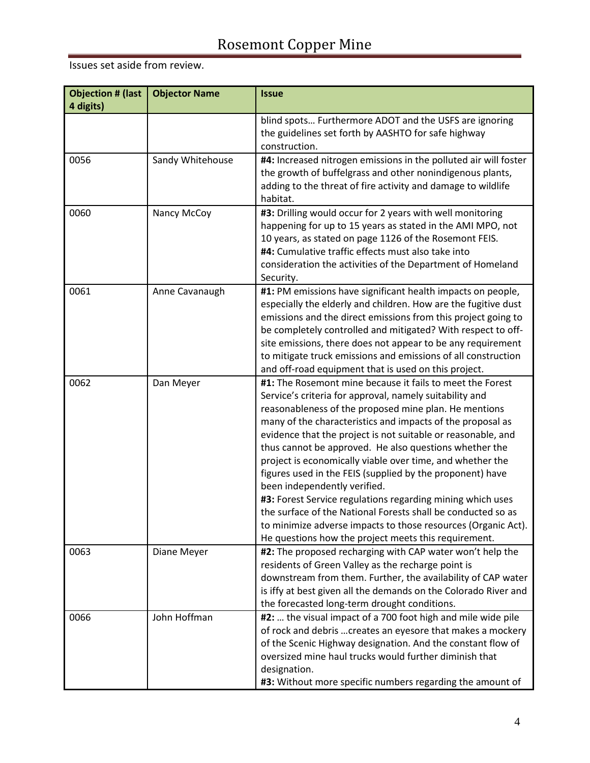| <b>Objection # (last</b><br>4 digits) | <b>Objector Name</b> | <b>Issue</b>                                                                                                                                                                                                                                                                                                                                                                                                                                                                                                                                                                                                                                                                                                                                                                           |
|---------------------------------------|----------------------|----------------------------------------------------------------------------------------------------------------------------------------------------------------------------------------------------------------------------------------------------------------------------------------------------------------------------------------------------------------------------------------------------------------------------------------------------------------------------------------------------------------------------------------------------------------------------------------------------------------------------------------------------------------------------------------------------------------------------------------------------------------------------------------|
|                                       |                      | blind spots Furthermore ADOT and the USFS are ignoring<br>the guidelines set forth by AASHTO for safe highway<br>construction.                                                                                                                                                                                                                                                                                                                                                                                                                                                                                                                                                                                                                                                         |
| 0056                                  | Sandy Whitehouse     | #4: Increased nitrogen emissions in the polluted air will foster<br>the growth of buffelgrass and other nonindigenous plants,<br>adding to the threat of fire activity and damage to wildlife<br>habitat.                                                                                                                                                                                                                                                                                                                                                                                                                                                                                                                                                                              |
| 0060                                  | Nancy McCoy          | #3: Drilling would occur for 2 years with well monitoring<br>happening for up to 15 years as stated in the AMI MPO, not<br>10 years, as stated on page 1126 of the Rosemont FEIS.<br>#4: Cumulative traffic effects must also take into<br>consideration the activities of the Department of Homeland<br>Security.                                                                                                                                                                                                                                                                                                                                                                                                                                                                     |
| 0061                                  | Anne Cavanaugh       | #1: PM emissions have significant health impacts on people,<br>especially the elderly and children. How are the fugitive dust<br>emissions and the direct emissions from this project going to<br>be completely controlled and mitigated? With respect to off-<br>site emissions, there does not appear to be any requirement<br>to mitigate truck emissions and emissions of all construction<br>and off-road equipment that is used on this project.                                                                                                                                                                                                                                                                                                                                 |
| 0062                                  | Dan Meyer            | #1: The Rosemont mine because it fails to meet the Forest<br>Service's criteria for approval, namely suitability and<br>reasonableness of the proposed mine plan. He mentions<br>many of the characteristics and impacts of the proposal as<br>evidence that the project is not suitable or reasonable, and<br>thus cannot be approved. He also questions whether the<br>project is economically viable over time, and whether the<br>figures used in the FEIS (supplied by the proponent) have<br>been independently verified.<br>#3: Forest Service regulations regarding mining which uses<br>the surface of the National Forests shall be conducted so as<br>to minimize adverse impacts to those resources (Organic Act).<br>He questions how the project meets this requirement. |
| 0063                                  | Diane Meyer          | #2: The proposed recharging with CAP water won't help the<br>residents of Green Valley as the recharge point is<br>downstream from them. Further, the availability of CAP water<br>is iffy at best given all the demands on the Colorado River and<br>the forecasted long-term drought conditions.                                                                                                                                                                                                                                                                                                                                                                                                                                                                                     |
| 0066                                  | John Hoffman         | #2:  the visual impact of a 700 foot high and mile wide pile<br>of rock and debris  creates an eyesore that makes a mockery<br>of the Scenic Highway designation. And the constant flow of<br>oversized mine haul trucks would further diminish that<br>designation.<br>#3: Without more specific numbers regarding the amount of                                                                                                                                                                                                                                                                                                                                                                                                                                                      |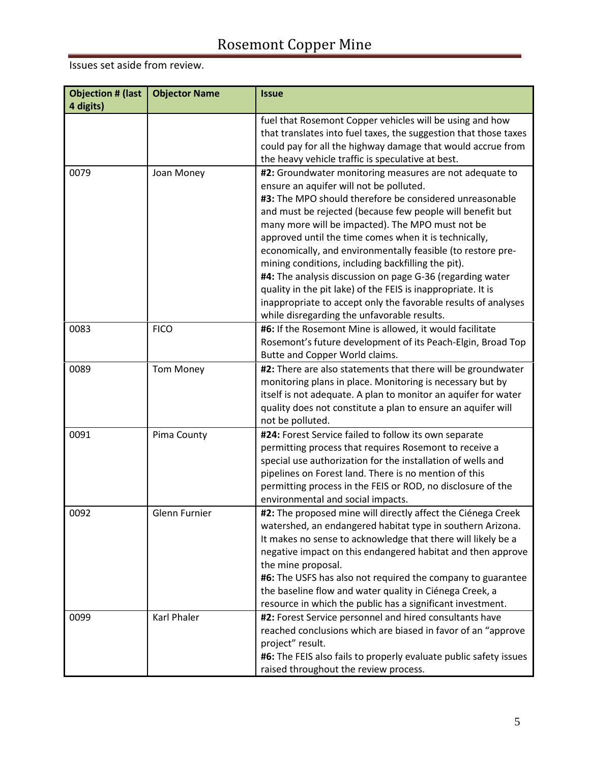| <b>Objection # (last</b><br>4 digits) | <b>Objector Name</b> | <b>Issue</b>                                                      |
|---------------------------------------|----------------------|-------------------------------------------------------------------|
|                                       |                      | fuel that Rosemont Copper vehicles will be using and how          |
|                                       |                      | that translates into fuel taxes, the suggestion that those taxes  |
|                                       |                      | could pay for all the highway damage that would accrue from       |
|                                       |                      | the heavy vehicle traffic is speculative at best.                 |
| 0079                                  | Joan Money           | #2: Groundwater monitoring measures are not adequate to           |
|                                       |                      | ensure an aquifer will not be polluted.                           |
|                                       |                      | #3: The MPO should therefore be considered unreasonable           |
|                                       |                      | and must be rejected (because few people will benefit but         |
|                                       |                      | many more will be impacted). The MPO must not be                  |
|                                       |                      | approved until the time comes when it is technically,             |
|                                       |                      | economically, and environmentally feasible (to restore pre-       |
|                                       |                      | mining conditions, including backfilling the pit).                |
|                                       |                      | #4: The analysis discussion on page G-36 (regarding water         |
|                                       |                      | quality in the pit lake) of the FEIS is inappropriate. It is      |
|                                       |                      | inappropriate to accept only the favorable results of analyses    |
|                                       |                      | while disregarding the unfavorable results.                       |
| 0083                                  | <b>FICO</b>          | #6: If the Rosemont Mine is allowed, it would facilitate          |
|                                       |                      | Rosemont's future development of its Peach-Elgin, Broad Top       |
|                                       |                      | Butte and Copper World claims.                                    |
| 0089                                  | <b>Tom Money</b>     | #2: There are also statements that there will be groundwater      |
|                                       |                      | monitoring plans in place. Monitoring is necessary but by         |
|                                       |                      | itself is not adequate. A plan to monitor an aquifer for water    |
|                                       |                      | quality does not constitute a plan to ensure an aquifer will      |
|                                       |                      | not be polluted.                                                  |
| 0091                                  | Pima County          | #24: Forest Service failed to follow its own separate             |
|                                       |                      | permitting process that requires Rosemont to receive a            |
|                                       |                      | special use authorization for the installation of wells and       |
|                                       |                      | pipelines on Forest land. There is no mention of this             |
|                                       |                      | permitting process in the FEIS or ROD, no disclosure of the       |
|                                       |                      | environmental and social impacts.                                 |
| 0092                                  | Glenn Furnier        | #2: The proposed mine will directly affect the Ciénega Creek      |
|                                       |                      | watershed, an endangered habitat type in southern Arizona.        |
|                                       |                      | It makes no sense to acknowledge that there will likely be a      |
|                                       |                      | negative impact on this endangered habitat and then approve       |
|                                       |                      | the mine proposal.                                                |
|                                       |                      | #6: The USFS has also not required the company to guarantee       |
|                                       |                      | the baseline flow and water quality in Ciénega Creek, a           |
|                                       |                      | resource in which the public has a significant investment.        |
| 0099                                  | Karl Phaler          | #2: Forest Service personnel and hired consultants have           |
|                                       |                      | reached conclusions which are biased in favor of an "approve      |
|                                       |                      | project" result.                                                  |
|                                       |                      | #6: The FEIS also fails to properly evaluate public safety issues |
|                                       |                      | raised throughout the review process.                             |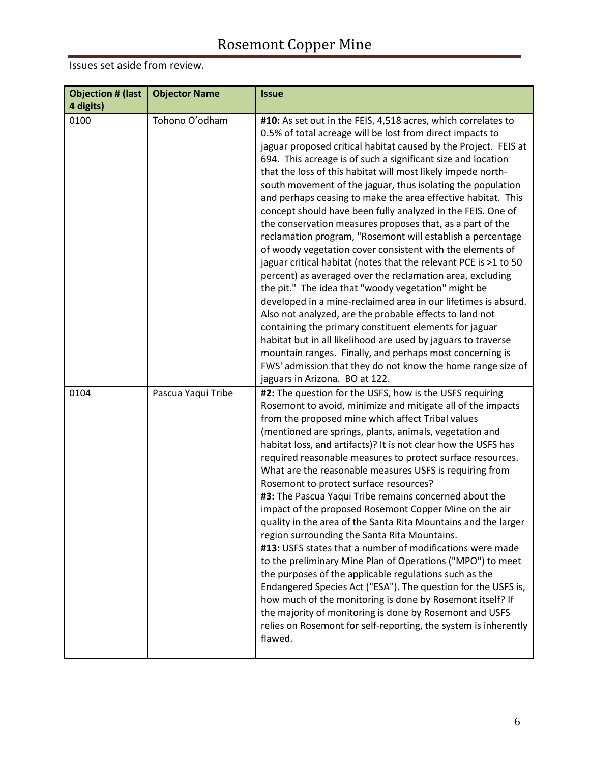| <b>Objection # (last</b><br>4 digits) | <b>Objector Name</b> | <b>Issue</b>                                                                                                                                                                                                                                                                                                                                                                                                                                                                                                                                                                                                                                                                                                                                                                                                                                                                                                                                                                                                                                                                                                                                                                                                                                                                                                                     |
|---------------------------------------|----------------------|----------------------------------------------------------------------------------------------------------------------------------------------------------------------------------------------------------------------------------------------------------------------------------------------------------------------------------------------------------------------------------------------------------------------------------------------------------------------------------------------------------------------------------------------------------------------------------------------------------------------------------------------------------------------------------------------------------------------------------------------------------------------------------------------------------------------------------------------------------------------------------------------------------------------------------------------------------------------------------------------------------------------------------------------------------------------------------------------------------------------------------------------------------------------------------------------------------------------------------------------------------------------------------------------------------------------------------|
| 0100                                  | Tohono O'odham       | #10: As set out in the FEIS, 4,518 acres, which correlates to<br>0.5% of total acreage will be lost from direct impacts to<br>jaguar proposed critical habitat caused by the Project. FEIS at<br>694. This acreage is of such a significant size and location<br>that the loss of this habitat will most likely impede north-<br>south movement of the jaguar, thus isolating the population<br>and perhaps ceasing to make the area effective habitat. This<br>concept should have been fully analyzed in the FEIS. One of<br>the conservation measures proposes that, as a part of the<br>reclamation program, "Rosemont will establish a percentage<br>of woody vegetation cover consistent with the elements of<br>jaguar critical habitat (notes that the relevant PCE is >1 to 50<br>percent) as averaged over the reclamation area, excluding<br>the pit." The idea that "woody vegetation" might be<br>developed in a mine-reclaimed area in our lifetimes is absurd.<br>Also not analyzed, are the probable effects to land not<br>containing the primary constituent elements for jaguar<br>habitat but in all likelihood are used by jaguars to traverse<br>mountain ranges. Finally, and perhaps most concerning is<br>FWS' admission that they do not know the home range size of<br>jaguars in Arizona. BO at 122. |
| 0104                                  | Pascua Yaqui Tribe   | #2: The question for the USFS, how is the USFS requiring<br>Rosemont to avoid, minimize and mitigate all of the impacts<br>from the proposed mine which affect Tribal values<br>(mentioned are springs, plants, animals, vegetation and<br>habitat loss, and artifacts)? It is not clear how the USFS has<br>required reasonable measures to protect surface resources.<br>What are the reasonable measures USFS is requiring from<br>Rosemont to protect surface resources?<br>#3: The Pascua Yaqui Tribe remains concerned about the<br>impact of the proposed Rosemont Copper Mine on the air<br>quality in the area of the Santa Rita Mountains and the larger<br>region surrounding the Santa Rita Mountains.<br>#13: USFS states that a number of modifications were made<br>to the preliminary Mine Plan of Operations ("MPO") to meet<br>the purposes of the applicable regulations such as the<br>Endangered Species Act ("ESA"). The question for the USFS is,<br>how much of the monitoring is done by Rosemont itself? If<br>the majority of monitoring is done by Rosemont and USFS<br>relies on Rosemont for self-reporting, the system is inherently<br>flawed.                                                                                                                                                   |